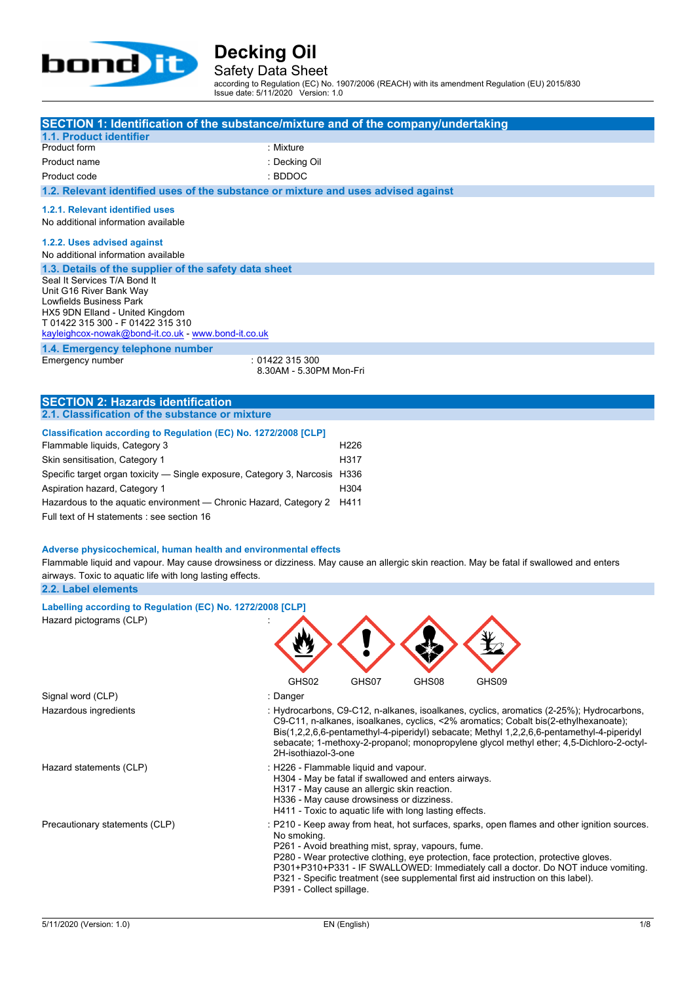

### Safety Data Sheet

according to Regulation (EC) No. 1907/2006 (REACH) with its amendment Regulation (EU) 2015/830 Issue date: 5/11/2020 Version: 1.0

| SECTION 1: Identification of the substance/mixture and of the company/undertaking<br>1.1. Product identifier                              |                                         |                                                                                          |       |                                                                                                                                                                        |
|-------------------------------------------------------------------------------------------------------------------------------------------|-----------------------------------------|------------------------------------------------------------------------------------------|-------|------------------------------------------------------------------------------------------------------------------------------------------------------------------------|
| Product form                                                                                                                              | : Mixture                               |                                                                                          |       |                                                                                                                                                                        |
| Product name                                                                                                                              | : Decking Oil                           |                                                                                          |       |                                                                                                                                                                        |
|                                                                                                                                           | : BDDOC                                 |                                                                                          |       |                                                                                                                                                                        |
| Product code                                                                                                                              |                                         |                                                                                          |       |                                                                                                                                                                        |
| 1.2. Relevant identified uses of the substance or mixture and uses advised against                                                        |                                         |                                                                                          |       |                                                                                                                                                                        |
| 1.2.1. Relevant identified uses<br>No additional information available                                                                    |                                         |                                                                                          |       |                                                                                                                                                                        |
| 1.2.2. Uses advised against<br>No additional information available                                                                        |                                         |                                                                                          |       |                                                                                                                                                                        |
| 1.3. Details of the supplier of the safety data sheet                                                                                     |                                         |                                                                                          |       |                                                                                                                                                                        |
| Seal It Services T/A Bond It<br>Unit G16 River Bank Way                                                                                   |                                         |                                                                                          |       |                                                                                                                                                                        |
| Lowfields Business Park                                                                                                                   |                                         |                                                                                          |       |                                                                                                                                                                        |
| HX5 9DN Elland - United Kingdom                                                                                                           |                                         |                                                                                          |       |                                                                                                                                                                        |
| T 01422 315 300 - F 01422 315 310                                                                                                         |                                         |                                                                                          |       |                                                                                                                                                                        |
| kayleighcox-nowak@bond-it.co.uk - www.bond-it.co.uk                                                                                       |                                         |                                                                                          |       |                                                                                                                                                                        |
| 1.4. Emergency telephone number                                                                                                           |                                         |                                                                                          |       |                                                                                                                                                                        |
| Emergency number                                                                                                                          | :01422315300<br>8.30AM - 5.30PM Mon-Fri |                                                                                          |       |                                                                                                                                                                        |
|                                                                                                                                           |                                         |                                                                                          |       |                                                                                                                                                                        |
|                                                                                                                                           |                                         |                                                                                          |       |                                                                                                                                                                        |
| <b>SECTION 2: Hazards identification</b><br>2.1. Classification of the substance or mixture                                               |                                         |                                                                                          |       |                                                                                                                                                                        |
|                                                                                                                                           |                                         |                                                                                          |       |                                                                                                                                                                        |
| Classification according to Regulation (EC) No. 1272/2008 [CLP]                                                                           |                                         |                                                                                          |       |                                                                                                                                                                        |
| Flammable liquids, Category 3                                                                                                             |                                         | H <sub>226</sub>                                                                         |       |                                                                                                                                                                        |
| Skin sensitisation, Category 1                                                                                                            |                                         | H317                                                                                     |       |                                                                                                                                                                        |
| Specific target organ toxicity - Single exposure, Category 3, Narcosis H336                                                               |                                         |                                                                                          |       |                                                                                                                                                                        |
| Aspiration hazard, Category 1                                                                                                             |                                         | H304                                                                                     |       |                                                                                                                                                                        |
| Hazardous to the aquatic environment - Chronic Hazard, Category 2 H411                                                                    |                                         |                                                                                          |       |                                                                                                                                                                        |
| Full text of H statements : see section 16                                                                                                |                                         |                                                                                          |       |                                                                                                                                                                        |
|                                                                                                                                           |                                         |                                                                                          |       |                                                                                                                                                                        |
| Adverse physicochemical, human health and environmental effects                                                                           |                                         |                                                                                          |       |                                                                                                                                                                        |
| Flammable liquid and vapour. May cause drowsiness or dizziness. May cause an allergic skin reaction. May be fatal if swallowed and enters |                                         |                                                                                          |       |                                                                                                                                                                        |
| airways. Toxic to aquatic life with long lasting effects.                                                                                 |                                         |                                                                                          |       |                                                                                                                                                                        |
| 2.2. Label elements                                                                                                                       |                                         |                                                                                          |       |                                                                                                                                                                        |
|                                                                                                                                           |                                         |                                                                                          |       |                                                                                                                                                                        |
| Labelling according to Regulation (EC) No. 1272/2008 [CLP]                                                                                |                                         |                                                                                          |       |                                                                                                                                                                        |
| Hazard pictograms (CLP)                                                                                                                   |                                         |                                                                                          |       |                                                                                                                                                                        |
|                                                                                                                                           |                                         |                                                                                          |       |                                                                                                                                                                        |
|                                                                                                                                           |                                         |                                                                                          |       |                                                                                                                                                                        |
|                                                                                                                                           |                                         |                                                                                          |       |                                                                                                                                                                        |
|                                                                                                                                           | GHS02                                   | GHS07                                                                                    | GHS08 | GHS09                                                                                                                                                                  |
| Signal word (CLP)                                                                                                                         | : Danger                                |                                                                                          |       |                                                                                                                                                                        |
| Hazardous ingredients                                                                                                                     |                                         |                                                                                          |       | : Hydrocarbons, C9-C12, n-alkanes, isoalkanes, cyclics, aromatics (2-25%); Hydrocarbons,                                                                               |
|                                                                                                                                           |                                         |                                                                                          |       | C9-C11, n-alkanes, isoalkanes, cyclics, <2% aromatics; Cobalt bis(2-ethylhexanoate);                                                                                   |
|                                                                                                                                           |                                         |                                                                                          |       | Bis(1,2,2,6,6-pentamethyl-4-piperidyl) sebacate; Methyl 1,2,2,6,6-pentamethyl-4-piperidyl                                                                              |
|                                                                                                                                           |                                         |                                                                                          |       | sebacate; 1-methoxy-2-propanol; monopropylene glycol methyl ether; 4,5-Dichloro-2-octyl-                                                                               |
|                                                                                                                                           | 2H-isothiazol-3-one                     |                                                                                          |       |                                                                                                                                                                        |
| Hazard statements (CLP)                                                                                                                   | : H226 - Flammable liquid and vapour.   |                                                                                          |       |                                                                                                                                                                        |
|                                                                                                                                           |                                         | H304 - May be fatal if swallowed and enters airways.                                     |       |                                                                                                                                                                        |
|                                                                                                                                           |                                         | H317 - May cause an allergic skin reaction.<br>H336 - May cause drowsiness or dizziness. |       |                                                                                                                                                                        |
|                                                                                                                                           |                                         | H411 - Toxic to aquatic life with long lasting effects.                                  |       |                                                                                                                                                                        |
| Precautionary statements (CLP)                                                                                                            |                                         |                                                                                          |       | : P210 - Keep away from heat, hot surfaces, sparks, open flames and other ignition sources.                                                                            |
|                                                                                                                                           | No smoking.                             |                                                                                          |       |                                                                                                                                                                        |
|                                                                                                                                           |                                         | P261 - Avoid breathing mist, spray, vapours, fume.                                       |       |                                                                                                                                                                        |
|                                                                                                                                           |                                         |                                                                                          |       | P280 - Wear protective clothing, eye protection, face protection, protective gloves.                                                                                   |
|                                                                                                                                           |                                         |                                                                                          |       | P301+P310+P331 - IF SWALLOWED: Immediately call a doctor. Do NOT induce vomiting.<br>P321 - Specific treatment (see supplemental first aid instruction on this label). |

P391 - Collect spillage.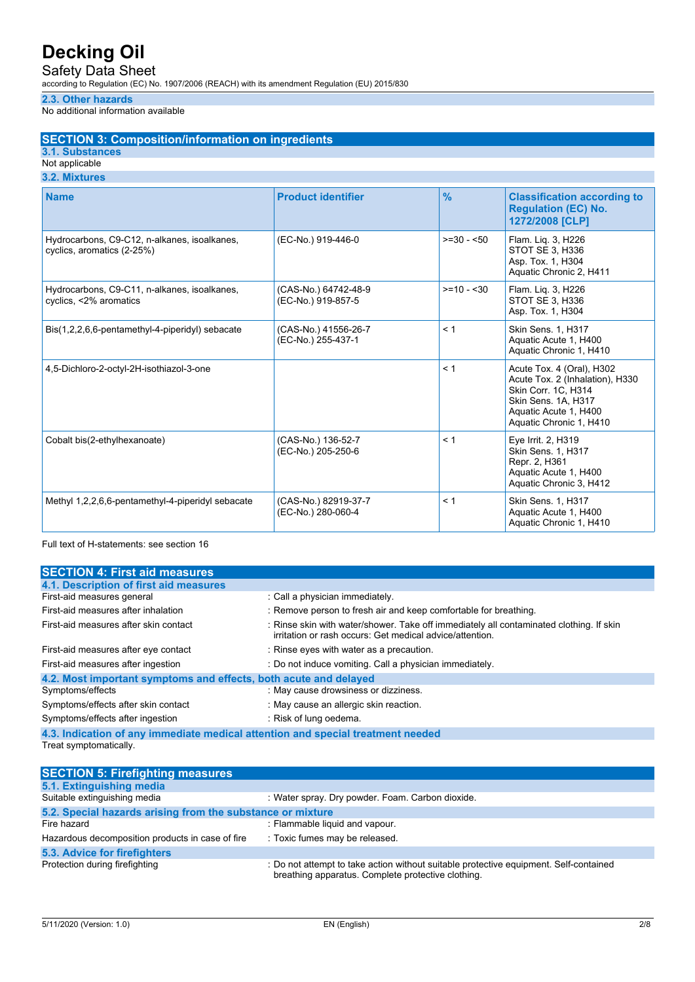Safety Data Sheet

according to Regulation (EC) No. 1907/2006 (REACH) with its amendment Regulation (EU) 2015/830

### **2.3. Other hazards**

No additional information available

### **SECTION 3: Composition/information on ingredients**

### **3.1. Substances**

#### Not applicable **3.2. Mixtures**

| <b>Name</b>                                                                | <b>Product identifier</b>                  | $\frac{9}{6}$ | <b>Classification according to</b><br><b>Regulation (EC) No.</b><br>1272/2008 [CLP]                                                                            |
|----------------------------------------------------------------------------|--------------------------------------------|---------------|----------------------------------------------------------------------------------------------------------------------------------------------------------------|
| Hydrocarbons, C9-C12, n-alkanes, isoalkanes,<br>cyclics, aromatics (2-25%) | (EC-No.) 919-446-0                         | $>=30 - 50$   | Flam. Liq. 3, H226<br>STOT SE 3, H336<br>Asp. Tox. 1, H304<br>Aquatic Chronic 2, H411                                                                          |
| Hydrocarbons, C9-C11, n-alkanes, isoalkanes,<br>cyclics, <2% aromatics     | (CAS-No.) 64742-48-9<br>(EC-No.) 919-857-5 | $>= 10 - 30$  | Flam. Lig. 3, H226<br>STOT SE 3, H336<br>Asp. Tox. 1, H304                                                                                                     |
| Bis(1,2,2,6,6-pentamethyl-4-piperidyl) sebacate                            | (CAS-No.) 41556-26-7<br>(EC-No.) 255-437-1 | < 1           | Skin Sens. 1, H317<br>Aquatic Acute 1, H400<br>Aquatic Chronic 1, H410                                                                                         |
| 4,5-Dichloro-2-octyl-2H-isothiazol-3-one                                   |                                            | < 1           | Acute Tox. 4 (Oral), H302<br>Acute Tox. 2 (Inhalation), H330<br>Skin Corr. 1C, H314<br>Skin Sens. 1A, H317<br>Aquatic Acute 1, H400<br>Aquatic Chronic 1, H410 |
| Cobalt bis(2-ethylhexanoate)                                               | (CAS-No.) 136-52-7<br>(EC-No.) 205-250-6   | < 1           | Eye Irrit. 2, H319<br>Skin Sens. 1, H317<br>Repr. 2, H361<br>Aquatic Acute 1, H400<br>Aquatic Chronic 3, H412                                                  |
| Methyl 1,2,2,6,6-pentamethyl-4-piperidyl sebacate                          | (CAS-No.) 82919-37-7<br>(EC-No.) 280-060-4 | < 1           | <b>Skin Sens. 1. H317</b><br>Aquatic Acute 1, H400<br>Aquatic Chronic 1, H410                                                                                  |

Full text of H-statements: see section 16

| <b>SECTION 4: First aid measures</b>                                            |                                                                                                                                                    |  |
|---------------------------------------------------------------------------------|----------------------------------------------------------------------------------------------------------------------------------------------------|--|
| 4.1. Description of first aid measures                                          |                                                                                                                                                    |  |
| First-aid measures general                                                      | : Call a physician immediately.                                                                                                                    |  |
| First-aid measures after inhalation                                             | : Remove person to fresh air and keep comfortable for breathing.                                                                                   |  |
| First-aid measures after skin contact                                           | : Rinse skin with water/shower. Take off immediately all contaminated clothing. If skin<br>irritation or rash occurs: Get medical advice/attention |  |
| First-aid measures after eye contact                                            | : Rinse eyes with water as a precaution.                                                                                                           |  |
| First-aid measures after ingestion                                              | : Do not induce vomiting. Call a physician immediately.                                                                                            |  |
| 4.2. Most important symptoms and effects, both acute and delayed                |                                                                                                                                                    |  |
| Symptoms/effects                                                                | : May cause drowsiness or dizziness.                                                                                                               |  |
| Symptoms/effects after skin contact                                             | : May cause an allergic skin reaction.                                                                                                             |  |
| Symptoms/effects after ingestion                                                | : Risk of lung oedema.                                                                                                                             |  |
| 4.3. Indication of any immediate medical attention and special treatment needed |                                                                                                                                                    |  |
| Treat symptomatically.                                                          |                                                                                                                                                    |  |

| <b>SECTION 5: Firefighting measures</b>                    |                                                                                                                                             |  |  |
|------------------------------------------------------------|---------------------------------------------------------------------------------------------------------------------------------------------|--|--|
| 5.1. Extinguishing media                                   |                                                                                                                                             |  |  |
| Suitable extinguishing media                               | : Water spray. Dry powder. Foam. Carbon dioxide.                                                                                            |  |  |
| 5.2. Special hazards arising from the substance or mixture |                                                                                                                                             |  |  |
| Fire hazard                                                | : Flammable liquid and vapour.                                                                                                              |  |  |
| Hazardous decomposition products in case of fire           | : Toxic fumes may be released.                                                                                                              |  |  |
| 5.3. Advice for firefighters                               |                                                                                                                                             |  |  |
| Protection during firefighting                             | : Do not attempt to take action without suitable protective equipment. Self-contained<br>breathing apparatus. Complete protective clothing. |  |  |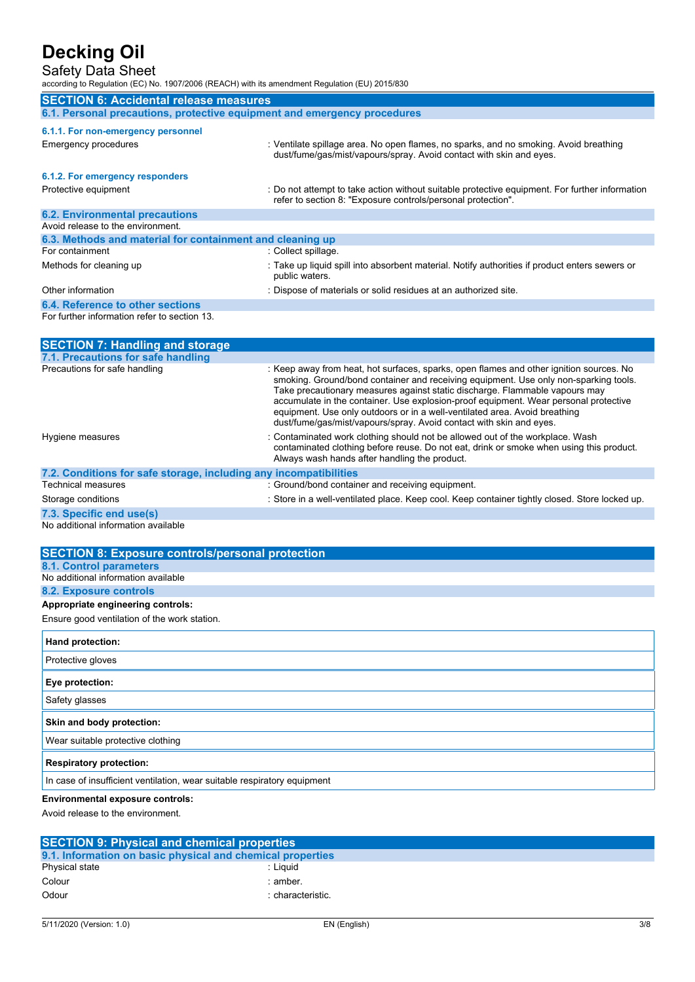### Safety Data Sheet

according to Regulation (EC) No. 1907/2006 (REACH) with its amendment Regulation (EU) 2015/830

| <b>SECTION 6: Accidental release measures</b>                            |                                                                                                                                                                                                                                                                                                                                                        |  |
|--------------------------------------------------------------------------|--------------------------------------------------------------------------------------------------------------------------------------------------------------------------------------------------------------------------------------------------------------------------------------------------------------------------------------------------------|--|
| 6.1. Personal precautions, protective equipment and emergency procedures |                                                                                                                                                                                                                                                                                                                                                        |  |
| 6.1.1. For non-emergency personnel                                       |                                                                                                                                                                                                                                                                                                                                                        |  |
| Emergency procedures                                                     | : Ventilate spillage area. No open flames, no sparks, and no smoking. Avoid breathing<br>dust/fume/gas/mist/vapours/spray. Avoid contact with skin and eyes.                                                                                                                                                                                           |  |
| 6.1.2. For emergency responders                                          |                                                                                                                                                                                                                                                                                                                                                        |  |
| Protective equipment                                                     | : Do not attempt to take action without suitable protective equipment. For further information<br>refer to section 8: "Exposure controls/personal protection".                                                                                                                                                                                         |  |
| <b>6.2. Environmental precautions</b>                                    |                                                                                                                                                                                                                                                                                                                                                        |  |
| Avoid release to the environment.                                        |                                                                                                                                                                                                                                                                                                                                                        |  |
| 6.3. Methods and material for containment and cleaning up                |                                                                                                                                                                                                                                                                                                                                                        |  |
| For containment                                                          | : Collect spillage.                                                                                                                                                                                                                                                                                                                                    |  |
| Methods for cleaning up                                                  | : Take up liquid spill into absorbent material. Notify authorities if product enters sewers or<br>public waters.                                                                                                                                                                                                                                       |  |
| Other information                                                        | : Dispose of materials or solid residues at an authorized site.                                                                                                                                                                                                                                                                                        |  |
| 6.4. Reference to other sections                                         |                                                                                                                                                                                                                                                                                                                                                        |  |
| For further information refer to section 13.                             |                                                                                                                                                                                                                                                                                                                                                        |  |
| <b>SECTION 7: Handling and storage</b>                                   |                                                                                                                                                                                                                                                                                                                                                        |  |
| 7.1. Precautions for safe handling                                       |                                                                                                                                                                                                                                                                                                                                                        |  |
| Precautions for safe handling                                            | : Keep away from heat, hot surfaces, sparks, open flames and other ignition sources. No<br>smoking. Ground/bond container and receiving equipment. Use only non-sparking tools.<br>Take precautionary measures against static discharge. Flammable vapours may<br>accumulate in the container. Use explosion-proof equipment. Wear personal protective |  |

|                                                                   | equipment. Use only outdoors or in a well-ventilated area. Avoid breathing<br>dust/fume/gas/mist/vapours/spray. Avoid contact with skin and eyes.                                                                         |
|-------------------------------------------------------------------|---------------------------------------------------------------------------------------------------------------------------------------------------------------------------------------------------------------------------|
| Hygiene measures                                                  | : Contaminated work clothing should not be allowed out of the workplace. Wash<br>contaminated clothing before reuse. Do not eat, drink or smoke when using this product.<br>Always wash hands after handling the product. |
| 7.2. Conditions for safe storage, including any incompatibilities |                                                                                                                                                                                                                           |
| Technical measures                                                | : Ground/bond container and receiving equipment.                                                                                                                                                                          |
| Storage conditions                                                | : Store in a well-ventilated place. Keep cool. Keep container tightly closed. Store locked up.                                                                                                                            |
| 7.3. Specific end use(s)                                          |                                                                                                                                                                                                                           |

No additional information available

| <b>SECTION 8: Exposure controls/personal protection</b>                  |
|--------------------------------------------------------------------------|
| <b>8.1. Control parameters</b>                                           |
| No additional information available                                      |
| <b>8.2. Exposure controls</b>                                            |
| Appropriate engineering controls:                                        |
| Ensure good ventilation of the work station.                             |
| <b>Hand protection:</b>                                                  |
| Protective gloves                                                        |
| Eye protection:                                                          |
| Safety glasses                                                           |
| Skin and body protection:                                                |
| Wear suitable protective clothing                                        |
| <b>Respiratory protection:</b>                                           |
| In case of insufficient ventilation, wear suitable respiratory equipment |
| <b>Environmental exposure controls:</b>                                  |

Avoid release to the environment.

| <b>SECTION 9: Physical and chemical properties</b>         |                   |  |
|------------------------------------------------------------|-------------------|--|
| 9.1. Information on basic physical and chemical properties |                   |  |
| <b>Physical state</b>                                      | : Liauid          |  |
| Colour                                                     | : amber.          |  |
| Odour                                                      | : characteristic. |  |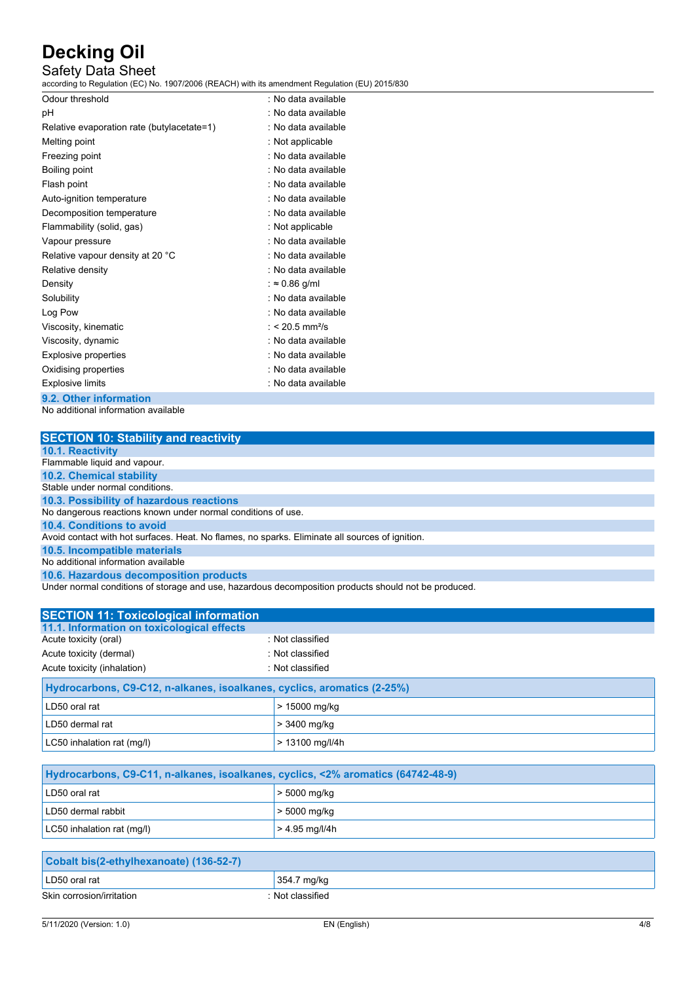## Safety Data Sheet

according to Regulation (EC) No. 1907/2006 (REACH) with its amendment Regulation (EU) 2015/830

| Odour threshold                            | : No data available         |
|--------------------------------------------|-----------------------------|
| рH                                         | : No data available         |
| Relative evaporation rate (butylacetate=1) | : No data available         |
| Melting point                              | : Not applicable            |
| Freezing point                             | : No data available         |
| Boiling point                              | : No data available         |
| Flash point                                | : No data available         |
| Auto-ignition temperature                  | : No data available         |
| Decomposition temperature                  | : No data available         |
| Flammability (solid, gas)                  | : Not applicable            |
| Vapour pressure                            | : No data available         |
| Relative vapour density at 20 °C           | : No data available         |
| Relative density                           | : No data available         |
| Density                                    | : $\approx 0.86$ g/ml       |
| Solubility                                 | : No data available         |
| Log Pow                                    | : No data available         |
| Viscosity, kinematic                       | : < 20.5 mm <sup>2</sup> /s |
| Viscosity, dynamic                         | : No data available         |
| <b>Explosive properties</b>                | : No data available         |
| Oxidising properties                       | : No data available         |
| <b>Explosive limits</b>                    | : No data available         |
| <b>Q 2</b> Other information               |                             |

**9.2. Other information** No additional information available

| <b>SECTION 10: Stability and reactivity</b>                                                     |
|-------------------------------------------------------------------------------------------------|
| <b>10.1. Reactivity</b>                                                                         |
| Flammable liquid and vapour.                                                                    |
| <b>10.2. Chemical stability</b>                                                                 |
| Stable under normal conditions.                                                                 |
| 10.3. Possibility of hazardous reactions                                                        |
| No dangerous reactions known under normal conditions of use.                                    |
| 10.4. Conditions to avoid                                                                       |
| Avoid contact with hot surfaces. Heat. No flames, no sparks. Eliminate all sources of ignition. |
| 10.5. Incompatible materials                                                                    |
| No additional information available                                                             |
| 10.6. Hazardous decomposition products                                                          |
| Under next and itions of oterase and use, hopedaus desempecities products about not he produced |

Under normal conditions of storage and use, hazardous decomposition products should not be produced.

| <b>SECTION 11: Toxicological information</b>                            |                   |  |
|-------------------------------------------------------------------------|-------------------|--|
| 11.1. Information on toxicological effects                              |                   |  |
| Acute toxicity (oral)                                                   | : Not classified  |  |
| Acute toxicity (dermal)                                                 | : Not classified  |  |
| Acute toxicity (inhalation)                                             | : Not classified  |  |
| Hydrocarbons, C9-C12, n-alkanes, isoalkanes, cyclics, aromatics (2-25%) |                   |  |
| LD50 oral rat                                                           | > 15000 mg/kg     |  |
| LD50 dermal rat                                                         | > 3400 mg/kg      |  |
| LC50 inhalation rat (mg/l)                                              | $> 13100$ mg/l/4h |  |
|                                                                         |                   |  |

| Hydrocarbons, C9-C11, n-alkanes, isoalkanes, cyclics, <2% aromatics (64742-48-9) |                  |  |
|----------------------------------------------------------------------------------|------------------|--|
| LD50 oral rat                                                                    | $>$ 5000 mg/kg   |  |
| LD50 dermal rabbit                                                               | > 5000 mg/kg     |  |
| LC50 inhalation rat (mg/l)                                                       | $> 4.95$ mg/l/4h |  |

| Cobalt bis(2-ethylhexanoate) (136-52-7) |                  |
|-----------------------------------------|------------------|
| LD50 oral rat                           | 354.7 mg/kg      |
| Skin corrosion/irritation               | : Not classified |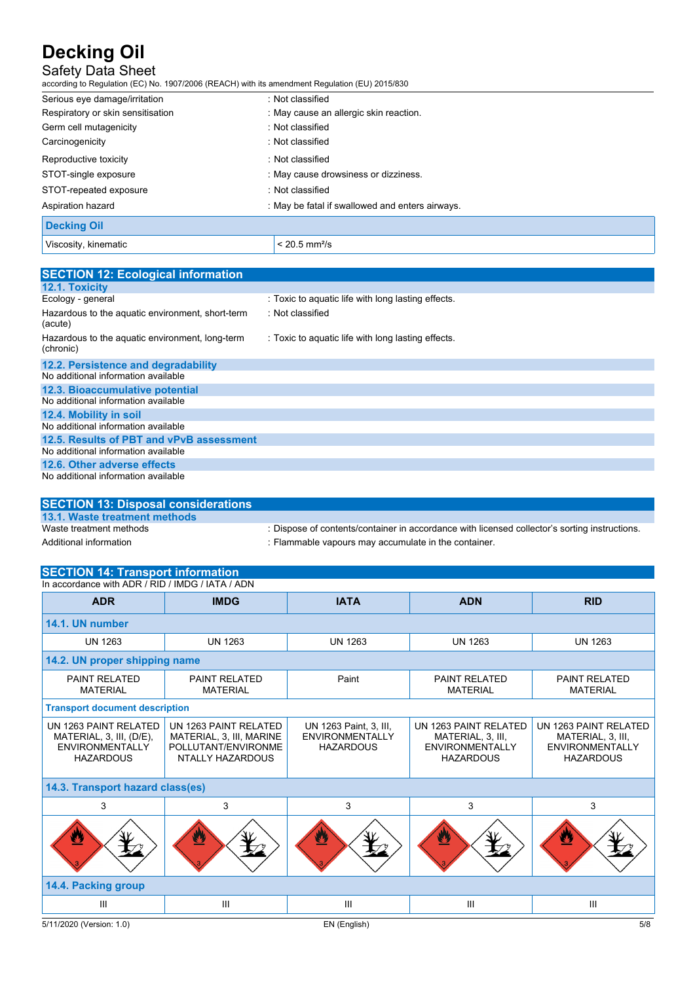## Safety Data Sheet

according to Regulation (EC) No. 1907/2006 (REACH) with its amendment Regulation (EU) 2015/830

| Serious eye damage/irritation     | : Not classified                              |
|-----------------------------------|-----------------------------------------------|
| Respiratory or skin sensitisation | : May cause an allergic skin reaction.        |
| Germ cell mutagenicity            | : Not classified                              |
| Carcinogenicity                   | : Not classified                              |
| Reproductive toxicity             | : Not classified                              |
| STOT-single exposure              | : May cause drowsiness or dizziness.          |
| STOT-repeated exposure            | : Not classified                              |
| Aspiration hazard                 | May be fatal if swallowed and enters airways. |
| <b>Decking Oil</b>                |                                               |
| Viscosity, kinematic              | $< 20.5$ mm <sup>2</sup> /s                   |

| <b>SECTION 12: Ecological information</b>                    |                                                    |
|--------------------------------------------------------------|----------------------------------------------------|
| 12.1. Toxicity                                               |                                                    |
| Ecology - general                                            | : Toxic to aquatic life with long lasting effects. |
| Hazardous to the aquatic environment, short-term<br>(acute)  | : Not classified                                   |
| Hazardous to the aquatic environment, long-term<br>(chronic) | : Toxic to aquatic life with long lasting effects. |
| 12.2. Persistence and degradability                          |                                                    |
| No additional information available                          |                                                    |
| 12.3. Bioaccumulative potential                              |                                                    |
| No additional information available                          |                                                    |
| 12.4. Mobility in soil                                       |                                                    |
| No additional information available                          |                                                    |
| 12.5. Results of PBT and vPvB assessment                     |                                                    |
| No additional information available                          |                                                    |
| 12.6. Other adverse effects                                  |                                                    |
| No additional information available                          |                                                    |

| <b>SECTION 13: Disposal considerations</b> |                                                                                               |
|--------------------------------------------|-----------------------------------------------------------------------------------------------|
| 13.1. Waste treatment methods              |                                                                                               |
| Waste treatment methods                    | : Dispose of contents/container in accordance with licensed collector's sorting instructions. |
| Additional information                     | : Flammable vapours may accumulate in the container.                                          |

## **SECTION 14: Transport information**

| In accordance with ADR / RID / IMDG / IATA / ADN                                                |                                                                                              |                                                                      |                                                                                          |                                                                                          |
|-------------------------------------------------------------------------------------------------|----------------------------------------------------------------------------------------------|----------------------------------------------------------------------|------------------------------------------------------------------------------------------|------------------------------------------------------------------------------------------|
| <b>ADR</b>                                                                                      | <b>IMDG</b>                                                                                  | <b>IATA</b>                                                          | <b>ADN</b>                                                                               | <b>RID</b>                                                                               |
| 14.1. UN number                                                                                 |                                                                                              |                                                                      |                                                                                          |                                                                                          |
| <b>UN 1263</b>                                                                                  | <b>UN 1263</b>                                                                               | <b>UN 1263</b>                                                       | <b>UN 1263</b>                                                                           | <b>UN 1263</b>                                                                           |
| 14.2. UN proper shipping name                                                                   |                                                                                              |                                                                      |                                                                                          |                                                                                          |
| <b>PAINT RELATED</b><br><b>MATERIAL</b>                                                         | <b>PAINT RELATED</b><br><b>MATERIAL</b>                                                      | Paint                                                                | <b>PAINT RELATED</b><br><b>MATERIAL</b>                                                  | <b>PAINT RELATED</b><br><b>MATERIAL</b>                                                  |
| <b>Transport document description</b>                                                           |                                                                                              |                                                                      |                                                                                          |                                                                                          |
| UN 1263 PAINT RELATED<br>MATERIAL, 3, III, (D/E),<br><b>ENVIRONMENTALLY</b><br><b>HAZARDOUS</b> | UN 1263 PAINT RELATED<br>MATERIAL, 3, III, MARINE<br>POLLUTANT/ENVIRONME<br>NTALLY HAZARDOUS | UN 1263 Paint, 3, III,<br><b>ENVIRONMENTALLY</b><br><b>HAZARDOUS</b> | UN 1263 PAINT RELATED<br>MATERIAL, 3, III,<br><b>ENVIRONMENTALLY</b><br><b>HAZARDOUS</b> | UN 1263 PAINT RELATED<br>MATERIAL, 3, III,<br><b>ENVIRONMENTALLY</b><br><b>HAZARDOUS</b> |
| 14.3. Transport hazard class(es)                                                                |                                                                                              |                                                                      |                                                                                          |                                                                                          |
| 3                                                                                               | 3                                                                                            | 3                                                                    | 3                                                                                        | 3                                                                                        |
| Ø                                                                                               | $\mathbf{r}$                                                                                 | ◙                                                                    | $\mathbf{v}$                                                                             | ഇ                                                                                        |
| 14.4. Packing group                                                                             |                                                                                              |                                                                      |                                                                                          |                                                                                          |
| Ш                                                                                               | III                                                                                          | III                                                                  | Ш                                                                                        | Ш                                                                                        |
| 5/11/2020 (Version: 1.0)                                                                        |                                                                                              | EN (English)                                                         |                                                                                          | 5/8                                                                                      |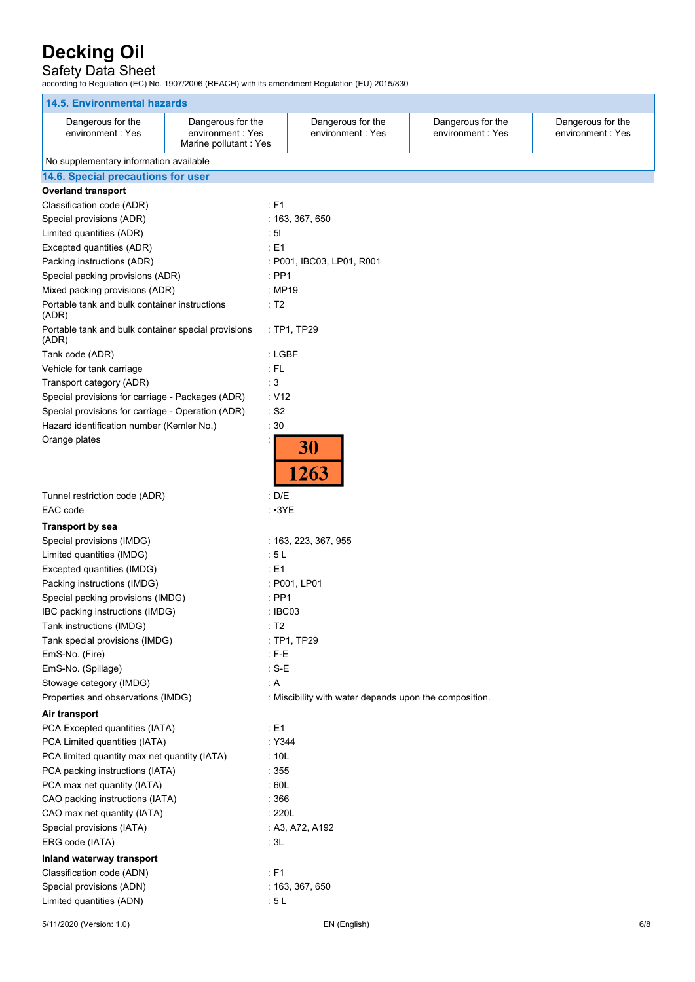## Safety Data Sheet

according to Regulation (EC) No. 1907/2006 (REACH) with its amendment Regulation (EU) 2015/830

| <b>14.5. Environmental hazards</b>                           |                                                                 |                                                        |                                       |                                       |
|--------------------------------------------------------------|-----------------------------------------------------------------|--------------------------------------------------------|---------------------------------------|---------------------------------------|
| Dangerous for the<br>environment: Yes                        | Dangerous for the<br>environment: Yes<br>Marine pollutant : Yes | Dangerous for the<br>environment: Yes                  | Dangerous for the<br>environment: Yes | Dangerous for the<br>environment: Yes |
| No supplementary information available                       |                                                                 |                                                        |                                       |                                       |
| 14.6. Special precautions for user                           |                                                                 |                                                        |                                       |                                       |
| <b>Overland transport</b>                                    |                                                                 |                                                        |                                       |                                       |
| Classification code (ADR)                                    | $\therefore$ F1                                                 |                                                        |                                       |                                       |
| Special provisions (ADR)                                     |                                                                 | : 163, 367, 650                                        |                                       |                                       |
| Limited quantities (ADR)                                     | : 51                                                            |                                                        |                                       |                                       |
| Excepted quantities (ADR)                                    | : E1                                                            |                                                        |                                       |                                       |
| Packing instructions (ADR)                                   |                                                                 | : P001, IBC03, LP01, R001                              |                                       |                                       |
| Special packing provisions (ADR)                             | $:$ PP1                                                         |                                                        |                                       |                                       |
| Mixed packing provisions (ADR)                               |                                                                 | : MP19                                                 |                                       |                                       |
| Portable tank and bulk container instructions<br>(ADR)       | : T2                                                            |                                                        |                                       |                                       |
| Portable tank and bulk container special provisions<br>(ADR) |                                                                 | : TP1, TP29                                            |                                       |                                       |
| Tank code (ADR)                                              |                                                                 | : LGBF                                                 |                                       |                                       |
| Vehicle for tank carriage                                    | $:$ FL                                                          |                                                        |                                       |                                       |
| Transport category (ADR)                                     | : 3                                                             |                                                        |                                       |                                       |
| Special provisions for carriage - Packages (ADR)             | : V12                                                           |                                                        |                                       |                                       |
| Special provisions for carriage - Operation (ADR)            | $:$ S2                                                          |                                                        |                                       |                                       |
| Hazard identification number (Kemler No.)                    | :30                                                             |                                                        |                                       |                                       |
| Orange plates                                                |                                                                 | 30<br>1263                                             |                                       |                                       |
| Tunnel restriction code (ADR)<br>EAC code                    | : D/E                                                           | $\cdot$ $\cdot$ 3YE                                    |                                       |                                       |
| <b>Transport by sea</b>                                      |                                                                 |                                                        |                                       |                                       |
| Special provisions (IMDG)                                    |                                                                 | : 163, 223, 367, 955                                   |                                       |                                       |
| Limited quantities (IMDG)                                    | :5L                                                             |                                                        |                                       |                                       |
| Excepted quantities (IMDG)                                   | : E1                                                            |                                                        |                                       |                                       |
| Packing instructions (IMDG)                                  |                                                                 | : P001, LP01                                           |                                       |                                       |
| Special packing provisions (IMDG)                            | $:$ PP1                                                         |                                                        |                                       |                                       |
| IBC packing instructions (IMDG)                              |                                                                 | : IBC03                                                |                                       |                                       |
| Tank instructions (IMDG)                                     | : T2                                                            |                                                        |                                       |                                       |
| Tank special provisions (IMDG)                               |                                                                 | : TP1, TP29                                            |                                       |                                       |
| EmS-No. (Fire)                                               | $: F-E$                                                         |                                                        |                                       |                                       |
| EmS-No. (Spillage)                                           | $: S-E$                                                         |                                                        |                                       |                                       |
| Stowage category (IMDG)                                      | : A                                                             |                                                        |                                       |                                       |
| Properties and observations (IMDG)                           |                                                                 | : Miscibility with water depends upon the composition. |                                       |                                       |
| Air transport                                                |                                                                 |                                                        |                                       |                                       |
| PCA Excepted quantities (IATA)                               | $\div$ E1                                                       |                                                        |                                       |                                       |
| PCA Limited quantities (IATA)                                |                                                                 | : Y344                                                 |                                       |                                       |
| PCA limited quantity max net quantity (IATA)                 | : 10L                                                           |                                                        |                                       |                                       |
| PCA packing instructions (IATA)                              | :355                                                            |                                                        |                                       |                                       |
| PCA max net quantity (IATA)                                  | :60L                                                            |                                                        |                                       |                                       |
| CAO packing instructions (IATA)                              | :366                                                            |                                                        |                                       |                                       |
| CAO max net quantity (IATA)                                  |                                                                 | :220L                                                  |                                       |                                       |
| Special provisions (IATA)                                    |                                                                 | : A3, A72, A192                                        |                                       |                                       |
| ERG code (IATA)                                              | : 3L                                                            |                                                        |                                       |                                       |
| Inland waterway transport                                    |                                                                 |                                                        |                                       |                                       |
| Classification code (ADN)                                    | $\div$ F1                                                       |                                                        |                                       |                                       |
| Special provisions (ADN)                                     |                                                                 | : 163, 367, 650                                        |                                       |                                       |
| Limited quantities (ADN)                                     | : 5L                                                            |                                                        |                                       |                                       |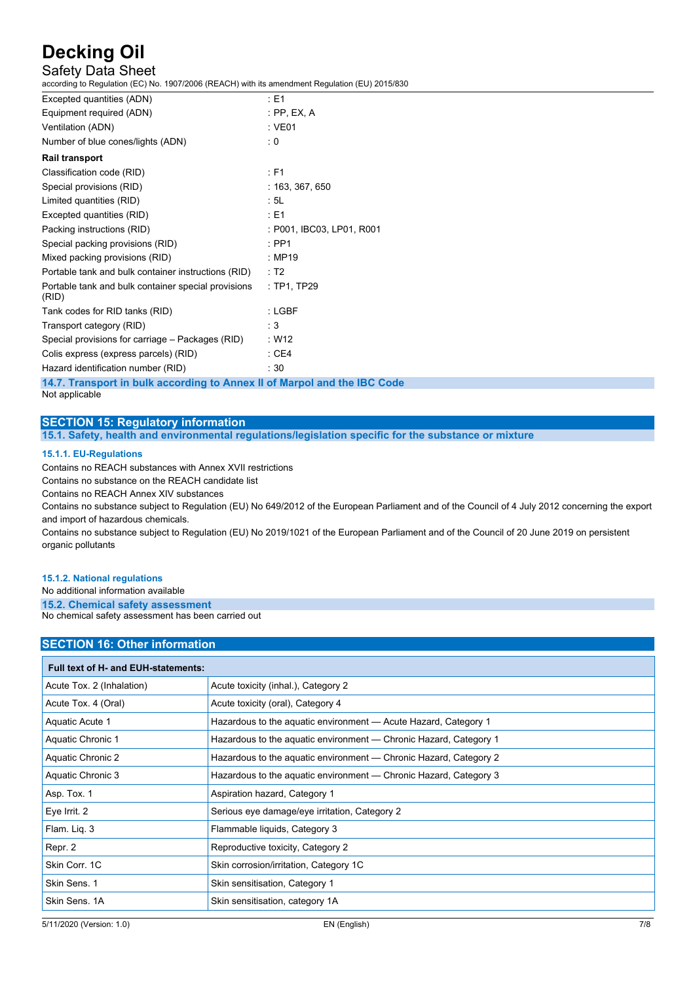## Safety Data Sheet

according to Regulation (EC) No. 1907/2006 (REACH) with its amendment Regulation (EU) 2015/830

| Excepted quantities (ADN)                                    | $E = 1$                   |
|--------------------------------------------------------------|---------------------------|
| Equipment required (ADN)                                     | $:$ PP, EX, A             |
| Ventilation (ADN)                                            | : VE01                    |
| Number of blue cones/lights (ADN)                            | : 0                       |
| <b>Rail transport</b>                                        |                           |
| Classification code (RID)                                    | $:$ F1                    |
| Special provisions (RID)                                     | : 163, 367, 650           |
| Limited quantities (RID)                                     | : 5L                      |
| Excepted quantities (RID)                                    | : E1                      |
| Packing instructions (RID)                                   | : P001, IBC03, LP01, R001 |
| Special packing provisions (RID)                             | $:$ PP1                   |
| Mixed packing provisions (RID)                               | : MP19                    |
| Portable tank and bulk container instructions (RID)          | : T2                      |
| Portable tank and bulk container special provisions<br>(RID) | : TP1, TP29               |
| Tank codes for RID tanks (RID)                               | : LGBF                    |
| Transport category (RID)                                     | : 3                       |
| Special provisions for carriage – Packages (RID)             | : W12                     |
| Colis express (express parcels) (RID)                        | :CE4                      |
| Hazard identification number (RID)                           | :30                       |
|                                                              |                           |

**14.7. Transport in bulk according to Annex II of Marpol and the IBC Code** Not applicable

## **SECTION 15: Regulatory information**

**15.1. Safety, health and environmental regulations/legislation specific for the substance or mixture**

### **15.1.1. EU-Regulations**

Contains no REACH substances with Annex XVII restrictions

Contains no substance on the REACH candidate list

Contains no REACH Annex XIV substances

Contains no substance subject to Regulation (EU) No 649/2012 of the European Parliament and of the Council of 4 July 2012 concerning the export and import of hazardous chemicals.

Contains no substance subject to Regulation (EU) No 2019/1021 of the European Parliament and of the Council of 20 June 2019 on persistent organic pollutants

### **15.1.2. National regulations**

No additional information available

**15.2. Chemical safety assessment**

No chemical safety assessment has been carried out

## **SECTION 16: Other information**

| Full text of H- and EUH-statements: |                                                                   |  |
|-------------------------------------|-------------------------------------------------------------------|--|
| Acute Tox. 2 (Inhalation)           | Acute toxicity (inhal.), Category 2                               |  |
| Acute Tox. 4 (Oral)                 | Acute toxicity (oral), Category 4                                 |  |
| Aquatic Acute 1                     | Hazardous to the aguatic environment - Acute Hazard, Category 1   |  |
| Aquatic Chronic 1                   | Hazardous to the aquatic environment — Chronic Hazard, Category 1 |  |
| Aquatic Chronic 2                   | Hazardous to the aquatic environment — Chronic Hazard, Category 2 |  |
| Aquatic Chronic 3                   | Hazardous to the aquatic environment — Chronic Hazard, Category 3 |  |
| Asp. Tox. 1                         | Aspiration hazard, Category 1                                     |  |
| Eye Irrit. 2                        | Serious eye damage/eye irritation, Category 2                     |  |
| Flam. Liq. 3                        | Flammable liquids, Category 3                                     |  |
| Repr. 2                             | Reproductive toxicity, Category 2                                 |  |
| Skin Corr. 1C                       | Skin corrosion/irritation, Category 1C                            |  |
| Skin Sens. 1                        | Skin sensitisation, Category 1                                    |  |
| Skin Sens, 1A                       | Skin sensitisation, category 1A                                   |  |